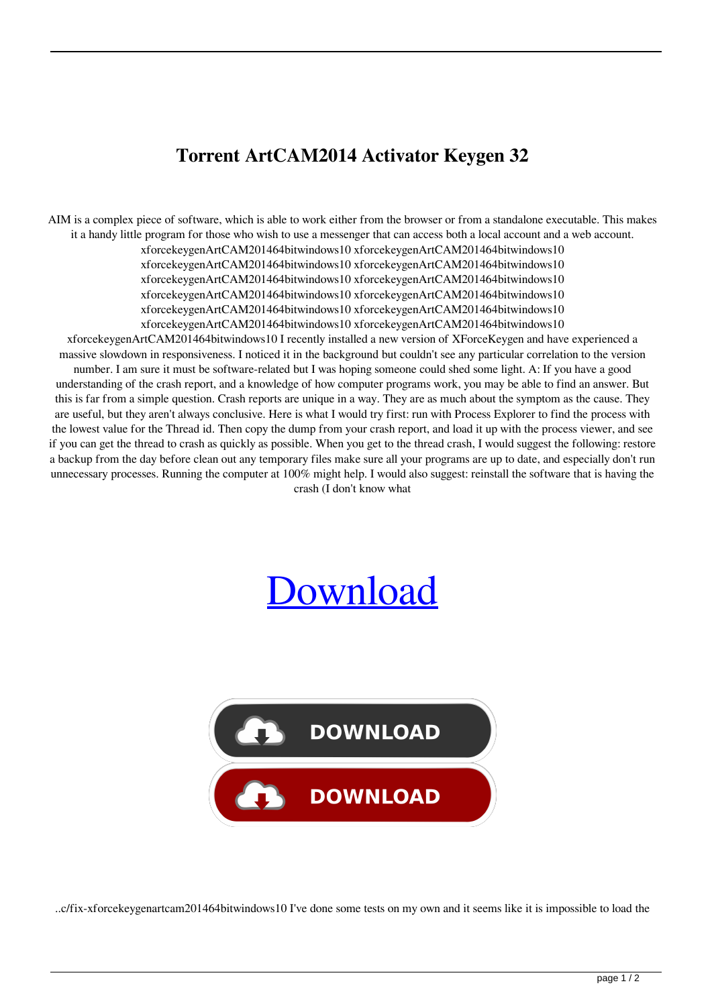## **Torrent ArtCAM2014 Activator Keygen 32**

AIM is a complex piece of software, which is able to work either from the browser or from a standalone executable. This makes it a handy little program for those who wish to use a messenger that can access both a local account and a web account. xforcekeygenArtCAM201464bitwindows10 xforcekeygenArtCAM201464bitwindows10 xforcekeygenArtCAM201464bitwindows10 xforcekeygenArtCAM201464bitwindows10 xforcekeygenArtCAM201464bitwindows10 xforcekeygenArtCAM201464bitwindows10 xforcekeygenArtCAM201464bitwindows10 xforcekeygenArtCAM201464bitwindows10 xforcekeygenArtCAM201464bitwindows10 xforcekeygenArtCAM201464bitwindows10 xforcekeygenArtCAM201464bitwindows10 xforcekeygenArtCAM201464bitwindows10 xforcekeygenArtCAM201464bitwindows10 I recently installed a new version of XForceKeygen and have experienced a massive slowdown in responsiveness. I noticed it in the background but couldn't see any particular correlation to the version number. I am sure it must be software-related but I was hoping someone could shed some light. A: If you have a good understanding of the crash report, and a knowledge of how computer programs work, you may be able to find an answer. But this is far from a simple question. Crash reports are unique in a way. They are as much about the symptom as the cause. They are useful, but they aren't always conclusive. Here is what I would try first: run with Process Explorer to find the process with the lowest value for the Thread id. Then copy the dump from your crash report, and load it up with the process viewer, and see if you can get the thread to crash as quickly as possible. When you get to the thread crash, I would suggest the following: restore a backup from the day before clean out any temporary files make sure all your programs are up to date, and especially don't run unnecessary processes. Running the computer at 100% might help. I would also suggest: reinstall the software that is having the crash (I don't know what

## [Download](http://evacdir.com/ZG93bmxvYWR8Smk2YTNNMGZId3hOalV5TnpRd09EWTJmSHd5TlRjMGZId29UU2tnY21WaFpDMWliRzluSUZ0R1lYTjBJRWRGVGww.entailing?kiyohara.templates.ignacio&mugs=eGZvcmNla2V5Z2VuQXJ0Q0FNMjAxNDY0Yml0d2luZG93czEweGZ)



..c/fix-xforcekeygenartcam201464bitwindows10 I've done some tests on my own and it seems like it is impossible to load the